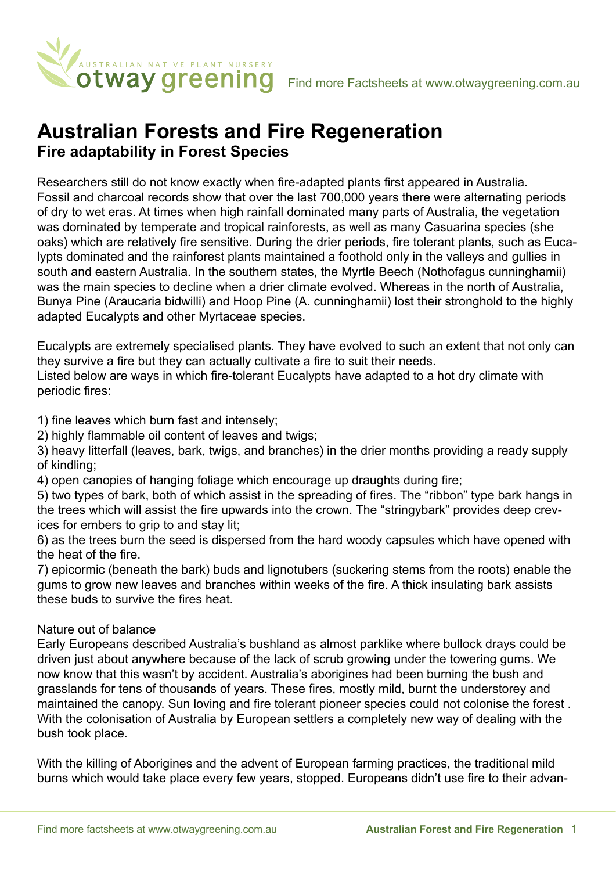

## **Australian Forests and Fire Regeneration Fire adaptability in Forest Species**

Researchers still do not know exactly when fire-adapted plants first appeared in Australia. Fossil and charcoal records show that over the last 700,000 years there were alternating periods of dry to wet eras. At times when high rainfall dominated many parts of Australia, the vegetation was dominated by temperate and tropical rainforests, as well as many Casuarina species (she oaks) which are relatively fire sensitive. During the drier periods, fire tolerant plants, such as Eucalypts dominated and the rainforest plants maintained a foothold only in the valleys and gullies in south and eastern Australia. In the southern states, the Myrtle Beech (Nothofagus cunninghamii) was the main species to decline when a drier climate evolved. Whereas in the north of Australia, Bunya Pine (Araucaria bidwilli) and Hoop Pine (A. cunninghamii) lost their stronghold to the highly adapted Eucalypts and other Myrtaceae species.

Eucalypts are extremely specialised plants. They have evolved to such an extent that not only can they survive a fire but they can actually cultivate a fire to suit their needs.

Listed below are ways in which fire-tolerant Eucalypts have adapted to a hot dry climate with periodic fires:

1) fine leaves which burn fast and intensely;

2) highly flammable oil content of leaves and twigs;

3) heavy litterfall (leaves, bark, twigs, and branches) in the drier months providing a ready supply of kindling;

4) open canopies of hanging foliage which encourage up draughts during fire;

5) two types of bark, both of which assist in the spreading of fires. The "ribbon" type bark hangs in the trees which will assist the fire upwards into the crown. The "stringybark" provides deep crevices for embers to grip to and stay lit;

6) as the trees burn the seed is dispersed from the hard woody capsules which have opened with the heat of the fire.

7) epicormic (beneath the bark) buds and lignotubers (suckering stems from the roots) enable the gums to grow new leaves and branches within weeks of the fire. A thick insulating bark assists these buds to survive the fires heat.

## Nature out of balance

Early Europeans described Australia's bushland as almost parklike where bullock drays could be driven just about anywhere because of the lack of scrub growing under the towering gums. We now know that this wasn't by accident. Australia's aborigines had been burning the bush and grasslands for tens of thousands of years. These fires, mostly mild, burnt the understorey and maintained the canopy. Sun loving and fire tolerant pioneer species could not colonise the forest . With the colonisation of Australia by European settlers a completely new way of dealing with the bush took place.

With the killing of Aborigines and the advent of European farming practices, the traditional mild burns which would take place every few years, stopped. Europeans didn't use fire to their advan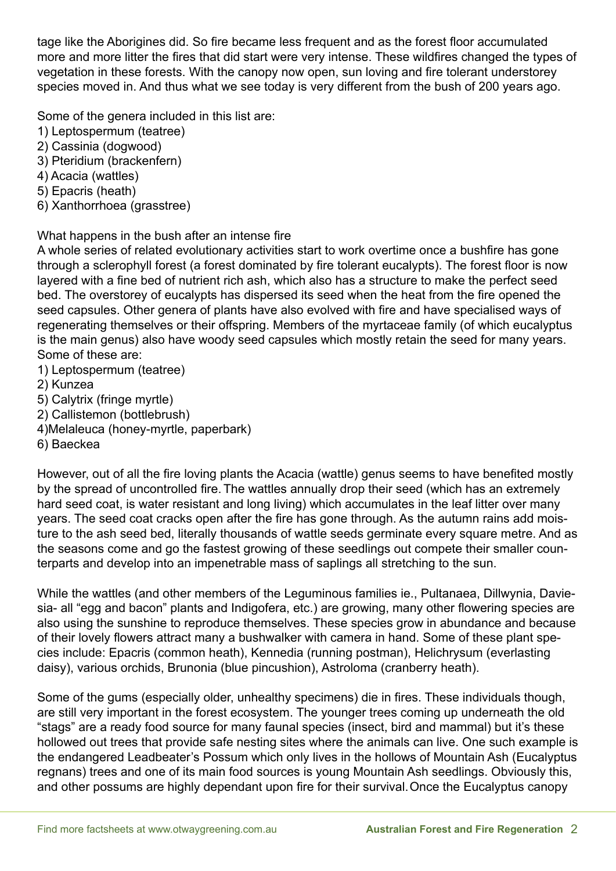tage like the Aborigines did. So fire became less frequent and as the forest floor accumulated more and more litter the fires that did start were very intense. These wildfires changed the types of vegetation in these forests. With the canopy now open, sun loving and fire tolerant understorey species moved in. And thus what we see today is very different from the bush of 200 years ago.

Some of the genera included in this list are:

- 1) Leptospermum (teatree)
- 2) Cassinia (dogwood)
- 3) Pteridium (brackenfern)
- 4) Acacia (wattles)
- 5) Epacris (heath)
- 6) Xanthorrhoea (grasstree)

## What happens in the bush after an intense fire

A whole series of related evolutionary activities start to work overtime once a bushfire has gone through a sclerophyll forest (a forest dominated by fire tolerant eucalypts). The forest floor is now layered with a fine bed of nutrient rich ash, which also has a structure to make the perfect seed bed. The overstorey of eucalypts has dispersed its seed when the heat from the fire opened the seed capsules. Other genera of plants have also evolved with fire and have specialised ways of regenerating themselves or their offspring. Members of the myrtaceae family (of which eucalyptus is the main genus) also have woody seed capsules which mostly retain the seed for many years. Some of these are:

- 1) Leptospermum (teatree)
- 2) Kunzea
- 5) Calytrix (fringe myrtle)
- 2) Callistemon (bottlebrush)
- 4)Melaleuca (honey-myrtle, paperbark)
- 6) Baeckea

However, out of all the fire loving plants the Acacia (wattle) genus seems to have benefited mostly by the spread of uncontrolled fire. The wattles annually drop their seed (which has an extremely hard seed coat, is water resistant and long living) which accumulates in the leaf litter over many years. The seed coat cracks open after the fire has gone through. As the autumn rains add moisture to the ash seed bed, literally thousands of wattle seeds germinate every square metre. And as the seasons come and go the fastest growing of these seedlings out compete their smaller counterparts and develop into an impenetrable mass of saplings all stretching to the sun.

While the wattles (and other members of the Leguminous families ie., Pultanaea, Dillwynia, Daviesia- all "egg and bacon" plants and Indigofera, etc.) are growing, many other flowering species are also using the sunshine to reproduce themselves. These species grow in abundance and because of their lovely flowers attract many a bushwalker with camera in hand. Some of these plant species include: Epacris (common heath), Kennedia (running postman), Helichrysum (everlasting daisy), various orchids, Brunonia (blue pincushion), Astroloma (cranberry heath).

Some of the gums (especially older, unhealthy specimens) die in fires. These individuals though, are still very important in the forest ecosystem. The younger trees coming up underneath the old "stags" are a ready food source for many faunal species (insect, bird and mammal) but it's these hollowed out trees that provide safe nesting sites where the animals can live. One such example is the endangered Leadbeater's Possum which only lives in the hollows of Mountain Ash (Eucalyptus regnans) trees and one of its main food sources is young Mountain Ash seedlings. Obviously this, and other possums are highly dependant upon fire for their survival.Once the Eucalyptus canopy